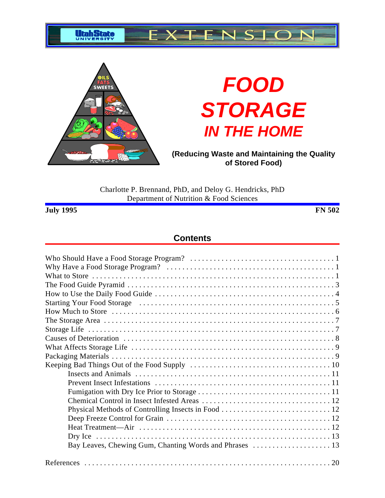



# **FOOD STORAGE IN THE HOME**

**(Reducing Waste and Maintaining the Quality of Stored Food)**

Charlotte P. Brennand, PhD, and Deloy G. Hendricks, PhD Department of Nutrition & Food Sciences

**July 1995 FN 502**

## **Contents**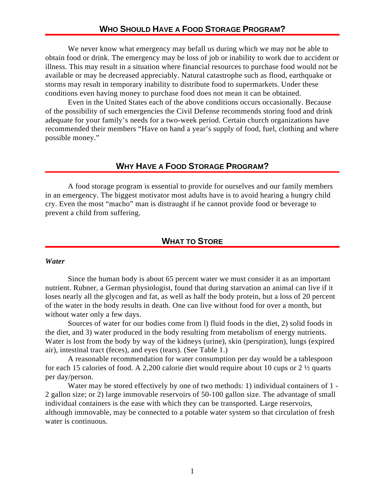## **WHO SHOULD HAVE A FOOD STORAGE PROGRAM?**

We never know what emergency may befall us during which we may not be able to obtain food or drink. The emergency may be loss of job or inability to work due to accident or illness. This may result in a situation where financial resources to purchase food would not be available or may be decreased appreciably. Natural catastrophe such as flood, earthquake or storms may result in temporary inability to distribute food to supermarkets. Under these conditions even having money to purchase food does not mean it can be obtained.

Even in the United States each of the above conditions occurs occasionally. Because of the possibility of such emergencies the Civil Defense recommends storing food and drink adequate for your family's needs for a two-week period. Certain church organizations have recommended their members "Have on hand a year's supply of food, fuel, clothing and where possible money."

#### **WHY HAVE A FOOD STORAGE PROGRAM?**

A food storage program is essential to provide for ourselves and our family members in an emergency. The biggest motivator most adults have is to avoid hearing a hungry child cry. Even the most "macho" man is distraught if he cannot provide food or beverage to prevent a child from suffering.

## **WHAT TO STORE**

#### *Water*

Since the human body is about 65 percent water we must consider it as an important nutrient. Rubner, a German physiologist, found that during starvation an animal can live if it loses nearly all the glycogen and fat, as well as half the body protein, but a loss of 20 percent of the water in the body results in death. One can live without food for over a month, but without water only a few days.

Sources of water for our bodies come from l) fluid foods in the diet, 2) solid foods in the diet, and 3) water produced in the body resulting from metabolism of energy nutrients. Water is lost from the body by way of the kidneys (urine), skin (perspiration), lungs (expired air), intestinal tract (feces), and eyes (tears). (See Table 1.)

A reasonable recommendation for water consumption per day would be a tablespoon for each 15 calories of food. A 2,200 calorie diet would require about 10 cups or 2 ½ quarts per day/person.

Water may be stored effectively by one of two methods: 1) individual containers of 1 - 2 gallon size; or 2) large immovable reservoirs of 50-100 gallon size. The advantage of small individual containers is the ease with which they can be transported. Large reservoirs, although immovable, may be connected to a potable water system so that circulation of fresh water is continuous.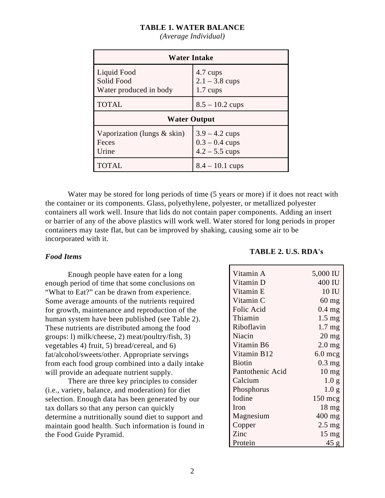#### **TABLE 1. WATER BALANCE**

| <b>Water Intake</b>                                 |                                                          |  |  |  |
|-----------------------------------------------------|----------------------------------------------------------|--|--|--|
| Liquid Food<br>Solid Food<br>Water produced in body | 4.7 cups<br>$2.1 - 3.8$ cups<br>$1.7 \text{ cups}$       |  |  |  |
| <b>TOTAL</b>                                        | $8.5 - 10.2$ cups                                        |  |  |  |
| <b>Water Output</b>                                 |                                                          |  |  |  |
| Vaporization (lungs $&$ skin)<br>Feces<br>Urine     | $3.9 - 4.2$ cups<br>$0.3 - 0.4$ cups<br>$4.2 - 5.5$ cups |  |  |  |
|                                                     | $8.4 - 10.1$ cups                                        |  |  |  |

*(Average Individual)*

Water may be stored for long periods of time (5 years or more) if it does not react with the container or its components. Glass, polyethylene, polyester, or metallized polyester containers all work well. Insure that lids do not contain paper components. Adding an insert or barrier of any of the above plastics will work well. Water stored for long periods in proper containers may taste flat, but can be improved by shaking, causing some air to be incorporated with it.

#### *Food Items*

Enough people have eaten for a long enough period of time that some conclusions on "What to Eat?" can be drawn from experience. Some average amounts of the nutrients required for growth, maintenance and reproduction of the human system have been published (see Table 2). These nutrients are distributed among the food groups: l) milk/cheese, 2) meat/poultry/fish, 3) vegetables 4) fruit, 5) bread/cereal, and 6) fat/alcohol/sweets/other. Appropriate servings from each food group combined into a daily intake will provide an adequate nutrient supply.

There are three key principles to consider (i.e., variety, balance, and moderation) for diet selection. Enough data has been generated by our tax dollars so that any person can quickly determine a nutritionally sound diet to support and maintain good health. Such information is found in the Food Guide Pyramid.

#### **TABLE 2. U.S. RDA's**

| Vitamin A        | 5,000 IU         |
|------------------|------------------|
| Vitamin D        | 400 IU           |
| Vitamin E        | 10 IU            |
| Vitamin C        | $60$ mg          |
| Folic Acid       | $0.4$ mg         |
| Thiamin          | $1.5 \text{ mg}$ |
| Riboflavin       | $1.7 \text{ mg}$ |
| Niacin           | $20$ mg          |
| Vitamin B6       | $2.0$ mg         |
| Vitamin B12      | $6.0$ mcg        |
| Biotin           | $0.3 \text{ mg}$ |
| Pantothenic Acid | $10 \text{ mg}$  |
| Calcium          | 1.0 g            |
| Phosphorus       | 1.0 g            |
| Iodine           | $150$ mcg        |
| Iron             | 18 <sub>mg</sub> |
| Magnesium        | $400$ mg         |
| Copper           | $2.5 \text{ mg}$ |
| Zinc             | $15 \text{ mg}$  |
| Protein          | 45g              |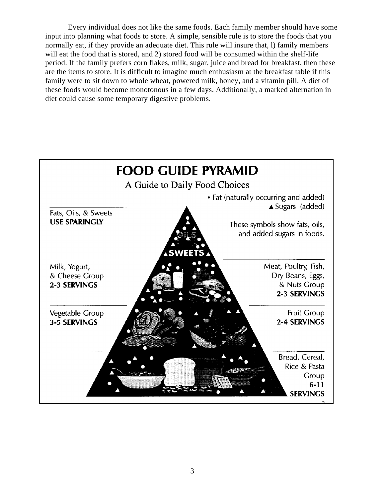Every individual does not like the same foods. Each family member should have some input into planning what foods to store. A simple, sensible rule is to store the foods that you normally eat, if they provide an adequate diet. This rule will insure that, l) family members will eat the food that is stored, and 2) stored food will be consumed within the shelf-life period. If the family prefers corn flakes, milk, sugar, juice and bread for breakfast, then these are the items to store. It is difficult to imagine much enthusiasm at the breakfast table if this family were to sit down to whole wheat, powered milk, honey, and a vitamin pill. A diet of these foods would become monotonous in a few days. Additionally, a marked alternation in diet could cause some temporary digestive problems.

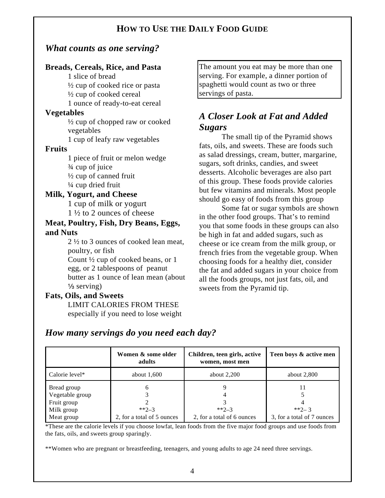# **HOW TO USE THE DAILY FOOD GUIDE**

# *What counts as one serving?*

## **Breads, Cereals, Rice, and Pasta**

1 slice of bread ½ cup of cooked rice or pasta ½ cup of cooked cereal 1 ounce of ready-to-eat cereal

### **Vegetables**

½ cup of chopped raw or cooked vegetables

1 cup of leafy raw vegetables

## **Fruits**

1 piece of fruit or melon wedge ¾ cup of juice  $\frac{1}{2}$  cup of canned fruit ¼ cup dried fruit

# **Milk, Yogurt, and Cheese**

1 cup of milk or yogurt 1 ½ to 2 ounces of cheese

## **Meat, Poultry, Fish, Dry Beans, Eggs, and Nuts**

2 ½ to 3 ounces of cooked lean meat, poultry, or fish Count ½ cup of cooked beans, or 1

egg, or 2 tablespoons of peanut butter as 1 ounce of lean mean (about  $\frac{1}{3}$  serving)

## **Fats, Oils, and Sweets**

LIMIT CALORIES FROM THESE especially if you need to lose weight

The amount you eat may be more than one serving. For example, a dinner portion of spaghetti would count as two or three servings of pasta.

# *A Closer Look at Fat and Added Sugars*

The small tip of the Pyramid shows fats, oils, and sweets. These are foods such as salad dressings, cream, butter, margarine, sugars, soft drinks, candies, and sweet desserts. Alcoholic beverages are also part of this group. These foods provide calories but few vitamins and minerals. Most people should go easy of foods from this group

Some fat or sugar symbols are shown in the other food groups. That's to remind you that some foods in these groups can also be high in fat and added sugars, such as cheese or ice cream from the milk group, or french fries from the vegetable group. When choosing foods for a healthy diet, consider the fat and added sugars in your choice from all the foods groups, not just fats, oil, and sweets from the Pyramid tip.

# *How many servings do you need each day?*

|                 | Women & some older<br>adults | Children, teen girls, active<br>women, most men | Teen boys & active men     |
|-----------------|------------------------------|-------------------------------------------------|----------------------------|
| Calorie level*  | about $1,600$                | about $2,200$                                   | about $2,800$              |
| Bread group     | 6                            |                                                 |                            |
| Vegetable group |                              |                                                 |                            |
| Fruit group     |                              |                                                 |                            |
| Milk group      | $*2-3$                       | $*2 - 3$                                        | **2-3                      |
| Meat group      | 2, for a total of 5 ounces   | 2, for a total of 6 ounces                      | 3, for a total of 7 ounces |

\*These are the calorie levels if you choose lowfat, lean foods from the five major food groups and use foods from the fats, oils, and sweets group sparingly.

\*\*Women who are pregnant or breastfeeding, teenagers, and young adults to age 24 need three servings.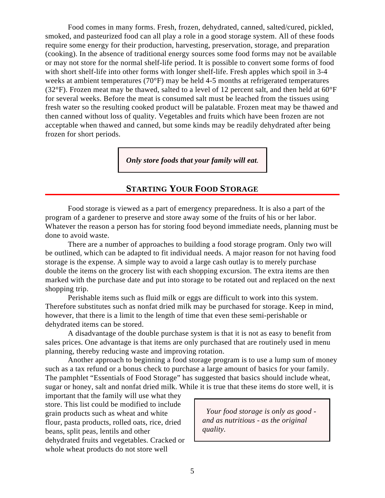Food comes in many forms. Fresh, frozen, dehydrated, canned, salted/cured, pickled, smoked, and pasteurized food can all play a role in a good storage system. All of these foods require some energy for their production, harvesting, preservation, storage, and preparation (cooking). In the absence of traditional energy sources some food forms may not be available or may not store for the normal shelf-life period. It is possible to convert some forms of food with short shelf-life into other forms with longer shelf-life. Fresh apples which spoil in 3-4 weeks at ambient temperatures (70°F) may be held 4-5 months at refrigerated temperatures (32 $\degree$ F). Frozen meat may be thawed, salted to a level of 12 percent salt, and then held at 60 $\degree$ F for several weeks. Before the meat is consumed salt must be leached from the tissues using fresh water so the resulting cooked product will be palatable. Frozen meat may be thawed and then canned without loss of quality. Vegetables and fruits which have been frozen are not acceptable when thawed and canned, but some kinds may be readily dehydrated after being frozen for short periods.

*Only store foods that your family will eat.*

# **STARTING YOUR FOOD STORAGE**

Food storage is viewed as a part of emergency preparedness. It is also a part of the program of a gardener to preserve and store away some of the fruits of his or her labor. Whatever the reason a person has for storing food beyond immediate needs, planning must be done to avoid waste.

There are a number of approaches to building a food storage program. Only two will be outlined, which can be adapted to fit individual needs. A major reason for not having food storage is the expense. A simple way to avoid a large cash outlay is to merely purchase double the items on the grocery list with each shopping excursion. The extra items are then marked with the purchase date and put into storage to be rotated out and replaced on the next shopping trip.

Perishable items such as fluid milk or eggs are difficult to work into this system. Therefore substitutes such as nonfat dried milk may be purchased for storage. Keep in mind, however, that there is a limit to the length of time that even these semi-perishable or dehydrated items can be stored.

A disadvantage of the double purchase system is that it is not as easy to benefit from sales prices. One advantage is that items are only purchased that are routinely used in menu planning, thereby reducing waste and improving rotation.

Another approach to beginning a food storage program is to use a lump sum of money such as a tax refund or a bonus check to purchase a large amount of basics for your family. The pamphlet "Essentials of Food Storage" has suggested that basics should include wheat, sugar or honey, salt and nonfat dried milk. While it is true that these items do store well, it is

important that the family will use what they store. This list could be modified to include grain products such as wheat and white flour, pasta products, rolled oats, rice, dried beans, split peas, lentils and other dehydrated fruits and vegetables. Cracked or whole wheat products do not store well

 *Your food storage is only as good and as nutritious - as the original quality.*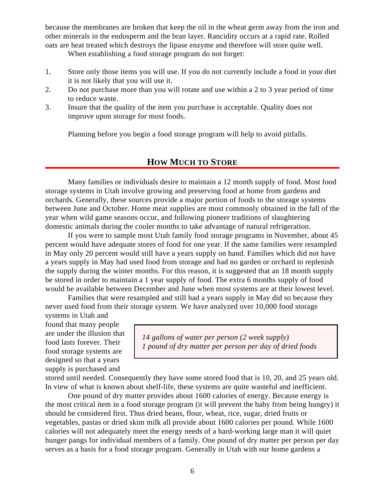because the membranes are broken that keep the oil in the wheat germ away from the iron and other minerals in the endosperm and the bran layer. Rancidity occurs at a rapid rate. Rolled oats are heat treated which destroys the lipase enzyme and therefore will store quite well.

When establishing a food storage program do not forget:

- 1. Store only those items you will use. If you do not currently include a food in your diet it is not likely that you will use it.
- 2. Do not purchase more than you will rotate and use within a 2 to 3 year period of time to reduce waste.
- 3. Insure that the quality of the item you purchase is acceptable. Quality does not improve upon storage for most foods.

Planning before you begin a food storage program will help to avoid pitfalls.

# **HOW MUCH TO STORE**

Many families or individuals desire to maintain a 12 month supply of food. Most food storage systems in Utah involve growing and preserving food at home from gardens and orchards. Generally, these sources provide a major portion of foods to the storage systems between June and October. Home meat supplies are most commonly obtained in the fall of the year when wild game seasons occur, and following pioneer traditions of slaughtering domestic animals during the cooler months to take advantage of natural refrigeration.

If you were to sample most Utah family food storage programs in November, about 45 percent would have adequate stores of food for one year. If the same families were resampled in May only 20 percent would still have a years supply on hand. Families which did not have a years supply in May had used food from storage and had no garden or orchard to replenish the supply during the winter months. For this reason, it is suggested that an 18 month supply be stored in order to maintain a 1 year supply of food. The extra 6 months supply of food would be available between December and June when most systems are at their lowest level.

Families that were resampled and still had a years supply in May did so because they never used food from their storage system. We have analyzed over 10,000 food storage

systems in Utah and found that many people are under the illusion that food lasts forever. Their food storage systems are designed so that a years supply is purchased and

*14 gallons of water per person (2 week supply) 1 pound of dry matter per person per day of dried foods*

stored until needed. Consequently they have some stored food that is 10, 20, and 25 years old. In view of what is known about shelf-life, these systems are quite wasteful and inefficient.

One pound of dry matter provides about 1600 calories of energy. Because energy is the most critical item in a food storage program (it will prevent the baby from being hungry) it should be considered first. Thus dried beans, flour, wheat, rice, sugar, dried fruits or vegetables, pastas or dried skim milk all provide about 1600 calories per pound. While 1600 calories will not adequately meet the energy needs of a hard-working large man it will quiet hunger pangs for individual members of a family. One pound of dry matter per person per day serves as a basis for a food storage program. Generally in Utah with our home gardens a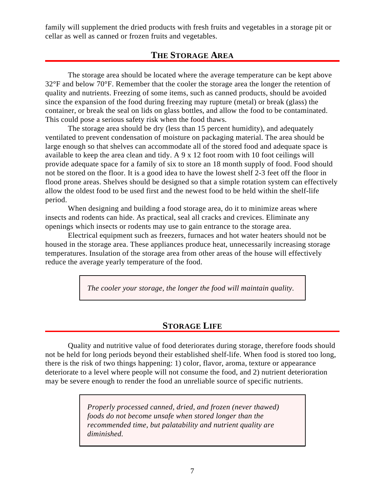family will supplement the dried products with fresh fruits and vegetables in a storage pit or cellar as well as canned or frozen fruits and vegetables.

## **THE STORAGE AREA**

The storage area should be located where the average temperature can be kept above 32°F and below 70°F. Remember that the cooler the storage area the longer the retention of quality and nutrients. Freezing of some items, such as canned products, should be avoided since the expansion of the food during freezing may rupture (metal) or break (glass) the container, or break the seal on lids on glass bottles, and allow the food to be contaminated. This could pose a serious safety risk when the food thaws.

The storage area should be dry (less than 15 percent humidity), and adequately ventilated to prevent condensation of moisture on packaging material. The area should be large enough so that shelves can accommodate all of the stored food and adequate space is available to keep the area clean and tidy. A 9 x 12 foot room with 10 foot ceilings will provide adequate space for a family of six to store an 18 month supply of food. Food should not be stored on the floor. It is a good idea to have the lowest shelf 2-3 feet off the floor in flood prone areas. Shelves should be designed so that a simple rotation system can effectively allow the oldest food to be used first and the newest food to be held within the shelf-life period.

When designing and building a food storage area, do it to minimize areas where insects and rodents can hide. As practical, seal all cracks and crevices. Eliminate any openings which insects or rodents may use to gain entrance to the storage area.

Electrical equipment such as freezers, furnaces and hot water heaters should not be housed in the storage area. These appliances produce heat, unnecessarily increasing storage temperatures. Insulation of the storage area from other areas of the house will effectively reduce the average yearly temperature of the food.

*The cooler your storage, the longer the food will maintain quality.*

## **STORAGE LIFE**

Quality and nutritive value of food deteriorates during storage, therefore foods should not be held for long periods beyond their established shelf-life. When food is stored too long, there is the risk of two things happening: 1) color, flavor, aroma, texture or appearance deteriorate to a level where people will not consume the food, and 2) nutrient deterioration may be severe enough to render the food an unreliable source of specific nutrients.

> *Properly processed canned, dried, and frozen (never thawed) foods do not become unsafe when stored longer than the recommended time, but palatability and nutrient quality are diminished.*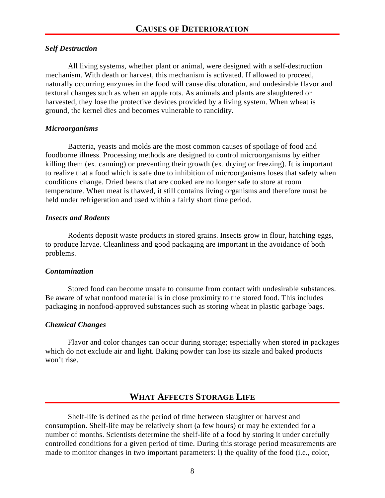### *Self Destruction*

All living systems, whether plant or animal, were designed with a self-destruction mechanism. With death or harvest, this mechanism is activated. If allowed to proceed, naturally occurring enzymes in the food will cause discoloration, and undesirable flavor and textural changes such as when an apple rots. As animals and plants are slaughtered or harvested, they lose the protective devices provided by a living system. When wheat is ground, the kernel dies and becomes vulnerable to rancidity.

#### *Microorganisms*

Bacteria, yeasts and molds are the most common causes of spoilage of food and foodborne illness. Processing methods are designed to control microorganisms by either killing them (ex. canning) or preventing their growth (ex. drying or freezing). It is important to realize that a food which is safe due to inhibition of microorganisms loses that safety when conditions change. Dried beans that are cooked are no longer safe to store at room temperature. When meat is thawed, it still contains living organisms and therefore must be held under refrigeration and used within a fairly short time period.

## *Insects and Rodents*

Rodents deposit waste products in stored grains. Insects grow in flour, hatching eggs, to produce larvae. Cleanliness and good packaging are important in the avoidance of both problems.

#### *Contamination*

Stored food can become unsafe to consume from contact with undesirable substances. Be aware of what nonfood material is in close proximity to the stored food. This includes packaging in nonfood-approved substances such as storing wheat in plastic garbage bags.

## *Chemical Changes*

Flavor and color changes can occur during storage; especially when stored in packages which do not exclude air and light. Baking powder can lose its sizzle and baked products won't rise.

# **WHAT AFFECTS STORAGE LIFE**

Shelf-life is defined as the period of time between slaughter or harvest and consumption. Shelf-life may be relatively short (a few hours) or may be extended for a number of months. Scientists determine the shelf-life of a food by storing it under carefully controlled conditions for a given period of time. During this storage period measurements are made to monitor changes in two important parameters: l) the quality of the food (i.e., color,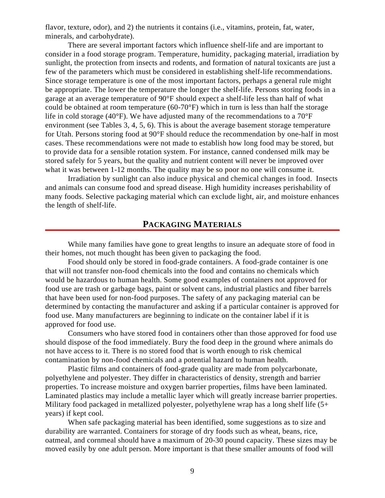flavor, texture, odor), and 2) the nutrients it contains (i.e., vitamins, protein, fat, water, minerals, and carbohydrate).

There are several important factors which influence shelf-life and are important to consider in a food storage program. Temperature, humidity, packaging material, irradiation by sunlight, the protection from insects and rodents, and formation of natural toxicants are just a few of the parameters which must be considered in establishing shelf-life recommendations. Since storage temperature is one of the most important factors, perhaps a general rule might be appropriate. The lower the temperature the longer the shelf-life. Persons storing foods in a garage at an average temperature of 90°F should expect a shelf-life less than half of what could be obtained at room temperature (60-70°F) which in turn is less than half the storage life in cold storage (40 $^{\circ}$ F). We have adjusted many of the recommendations to a 70 $^{\circ}$ F environment (see Tables 3, 4, 5, 6). This is about the average basement storage temperature for Utah. Persons storing food at 90°F should reduce the recommendation by one-half in most cases. These recommendations were not made to establish how long food may be stored, but to provide data for a sensible rotation system. For instance, canned condensed milk may be stored safely for 5 years, but the quality and nutrient content will never be improved over what it was between 1-12 months. The quality may be so poor no one will consume it.

Irradiation by sunlight can also induce physical and chemical changes in food. Insects and animals can consume food and spread disease. High humidity increases perishability of many foods. Selective packaging material which can exclude light, air, and moisture enhances the length of shelf-life.

## **PACKAGING MATERIALS**

While many families have gone to great lengths to insure an adequate store of food in their homes, not much thought has been given to packaging the food.

Food should only be stored in food-grade containers. A food-grade container is one that will not transfer non-food chemicals into the food and contains no chemicals which would be hazardous to human health. Some good examples of containers not approved for food use are trash or garbage bags, paint or solvent cans, industrial plastics and fiber barrels that have been used for non-food purposes. The safety of any packaging material can be determined by contacting the manufacturer and asking if a particular container is approved for food use. Many manufacturers are beginning to indicate on the container label if it is approved for food use.

Consumers who have stored food in containers other than those approved for food use should dispose of the food immediately. Bury the food deep in the ground where animals do not have access to it. There is no stored food that is worth enough to risk chemical contamination by non-food chemicals and a potential hazard to human health.

Plastic films and containers of food-grade quality are made from polycarbonate, polyethylene and polyester. They differ in characteristics of density, strength and barrier properties. To increase moisture and oxygen barrier properties, films have been laminated. Laminated plastics may include a metallic layer which will greatly increase barrier properties. Military food packaged in metallized polyester, polyethylene wrap has a long shelf life (5+ years) if kept cool.

When safe packaging material has been identified, some suggestions as to size and durability are warranted. Containers for storage of dry foods such as wheat, beans, rice, oatmeal, and cornmeal should have a maximum of 20-30 pound capacity. These sizes may be moved easily by one adult person. More important is that these smaller amounts of food will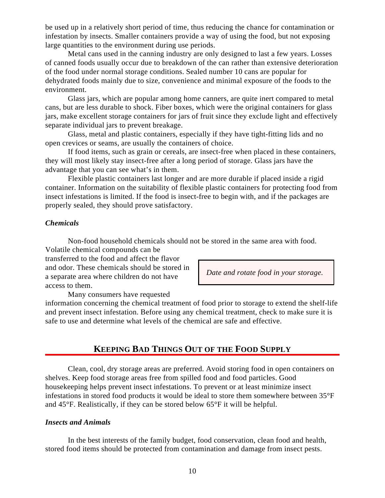be used up in a relatively short period of time, thus reducing the chance for contamination or infestation by insects. Smaller containers provide a way of using the food, but not exposing large quantities to the environment during use periods.

Metal cans used in the canning industry are only designed to last a few years. Losses of canned foods usually occur due to breakdown of the can rather than extensive deterioration of the food under normal storage conditions. Sealed number 10 cans are popular for dehydrated foods mainly due to size, convenience and minimal exposure of the foods to the environment.

Glass jars, which are popular among home canners, are quite inert compared to metal cans, but are less durable to shock. Fiber boxes, which were the original containers for glass jars, make excellent storage containers for jars of fruit since they exclude light and effectively separate individual jars to prevent breakage.

Glass, metal and plastic containers, especially if they have tight-fitting lids and no open crevices or seams, are usually the containers of choice.

If food items, such as grain or cereals, are insect-free when placed in these containers, they will most likely stay insect-free after a long period of storage. Glass jars have the advantage that you can see what's in them.

Flexible plastic containers last longer and are more durable if placed inside a rigid container. Information on the suitability of flexible plastic containers for protecting food from insect infestations is limited. If the food is insect-free to begin with, and if the packages are properly sealed, they should prove satisfactory.

#### *Chemicals*

Non-food household chemicals should not be stored in the same area with food. Volatile chemical compounds can be

transferred to the food and affect the flavor and odor. These chemicals should be stored in a separate area where children do not have access to them.

*Date and rotate food in your storage.*

Many consumers have requested information concerning the chemical treatment of food prior to storage to extend the shelf-life

and prevent insect infestation. Before using any chemical treatment, check to make sure it is safe to use and determine what levels of the chemical are safe and effective.

## **KEEPING BAD THINGS OUT OF THE FOOD SUPPLY**

Clean, cool, dry storage areas are preferred. Avoid storing food in open containers on shelves. Keep food storage areas free from spilled food and food particles. Good housekeeping helps prevent insect infestations. To prevent or at least minimize insect infestations in stored food products it would be ideal to store them somewhere between 35°F and 45°F. Realistically, if they can be stored below 65°F it will be helpful.

#### *Insects and Animals*

In the best interests of the family budget, food conservation, clean food and health, stored food items should be protected from contamination and damage from insect pests.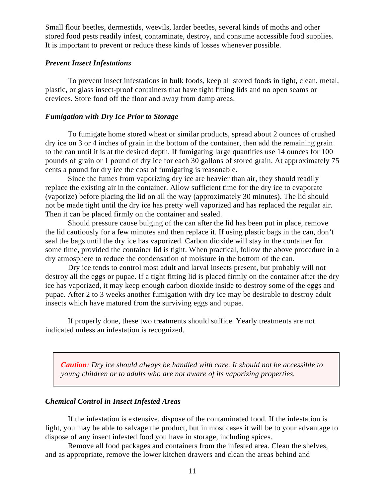Small flour beetles, dermestids, weevils, larder beetles, several kinds of moths and other stored food pests readily infest, contaminate, destroy, and consume accessible food supplies. It is important to prevent or reduce these kinds of losses whenever possible.

#### *Prevent Insect Infestations*

To prevent insect infestations in bulk foods, keep all stored foods in tight, clean, metal, plastic, or glass insect-proof containers that have tight fitting lids and no open seams or crevices. Store food off the floor and away from damp areas.

#### *Fumigation with Dry Ice Prior to Storage*

To fumigate home stored wheat or similar products, spread about 2 ounces of crushed dry ice on 3 or 4 inches of grain in the bottom of the container, then add the remaining grain to the can until it is at the desired depth. If fumigating large quantities use 14 ounces for 100 pounds of grain or 1 pound of dry ice for each 30 gallons of stored grain. At approximately 75 cents a pound for dry ice the cost of fumigating is reasonable.

Since the fumes from vaporizing dry ice are heavier than air, they should readily replace the existing air in the container. Allow sufficient time for the dry ice to evaporate (vaporize) before placing the lid on all the way (approximately 30 minutes). The lid should not be made tight until the dry ice has pretty well vaporized and has replaced the regular air. Then it can be placed firmly on the container and sealed.

Should pressure cause bulging of the can after the lid has been put in place, remove the lid cautiously for a few minutes and then replace it. If using plastic bags in the can, don't seal the bags until the dry ice has vaporized. Carbon dioxide will stay in the container for some time, provided the container lid is tight. When practical, follow the above procedure in a dry atmosphere to reduce the condensation of moisture in the bottom of the can.

Dry ice tends to control most adult and larval insects present, but probably will not destroy all the eggs or pupae. If a tight fitting lid is placed firmly on the container after the dry ice has vaporized, it may keep enough carbon dioxide inside to destroy some of the eggs and pupae. After 2 to 3 weeks another fumigation with dry ice may be desirable to destroy adult insects which have matured from the surviving eggs and pupae.

If properly done, these two treatments should suffice. Yearly treatments are not indicated unless an infestation is recognized.

*Caution: Dry ice should always be handled with care. It should not be accessible to young children or to adults who are not aware of its vaporizing properties.*

#### *Chemical Control in Insect Infested Areas*

If the infestation is extensive, dispose of the contaminated food. If the infestation is light, you may be able to salvage the product, but in most cases it will be to your advantage to dispose of any insect infested food you have in storage, including spices.

Remove all food packages and containers from the infested area. Clean the shelves, and as appropriate, remove the lower kitchen drawers and clean the areas behind and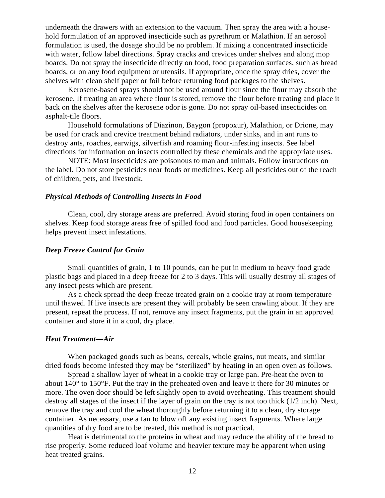underneath the drawers with an extension to the vacuum. Then spray the area with a household formulation of an approved insecticide such as pyrethrum or Malathion. If an aerosol formulation is used, the dosage should be no problem. If mixing a concentrated insecticide with water, follow label directions. Spray cracks and crevices under shelves and along mop boards. Do not spray the insecticide directly on food, food preparation surfaces, such as bread boards, or on any food equipment or utensils. If appropriate, once the spray dries, cover the shelves with clean shelf paper or foil before returning food packages to the shelves.

Kerosene-based sprays should not be used around flour since the flour may absorb the kerosene. If treating an area where flour is stored, remove the flour before treating and place it back on the shelves after the kerosene odor is gone. Do not spray oil-based insecticides on asphalt-tile floors.

Household formulations of Diazinon, Baygon (propoxur), Malathion, or Drione, may be used for crack and crevice treatment behind radiators, under sinks, and in ant runs to destroy ants, roaches, earwigs, silverfish and roaming flour-infesting insects. See label directions for information on insects controlled by these chemicals and the appropriate uses.

NOTE: Most insecticides are poisonous to man and animals. Follow instructions on the label. Do not store pesticides near foods or medicines. Keep all pesticides out of the reach of children, pets, and livestock.

#### *Physical Methods of Controlling Insects in Food*

Clean, cool, dry storage areas are preferred. Avoid storing food in open containers on shelves. Keep food storage areas free of spilled food and food particles. Good housekeeping helps prevent insect infestations.

#### *Deep Freeze Control for Grain*

Small quantities of grain, 1 to 10 pounds, can be put in medium to heavy food grade plastic bags and placed in a deep freeze for 2 to 3 days. This will usually destroy all stages of any insect pests which are present.

As a check spread the deep freeze treated grain on a cookie tray at room temperature until thawed. If live insects are present they will probably be seen crawling about. If they are present, repeat the process. If not, remove any insect fragments, put the grain in an approved container and store it in a cool, dry place.

#### *Heat Treatment—Air*

When packaged goods such as beans, cereals, whole grains, nut meats, and similar dried foods become infested they may be "sterilized" by heating in an open oven as follows.

Spread a shallow layer of wheat in a cookie tray or large pan. Pre-heat the oven to about 140° to 150°F. Put the tray in the preheated oven and leave it there for 30 minutes or more. The oven door should be left slightly open to avoid overheating. This treatment should destroy all stages of the insect if the layer of grain on the tray is not too thick (1/2 inch). Next, remove the tray and cool the wheat thoroughly before returning it to a clean, dry storage container. As necessary, use a fan to blow off any existing insect fragments. Where large quantities of dry food are to be treated, this method is not practical.

Heat is detrimental to the proteins in wheat and may reduce the ability of the bread to rise properly. Some reduced loaf volume and heavier texture may be apparent when using heat treated grains.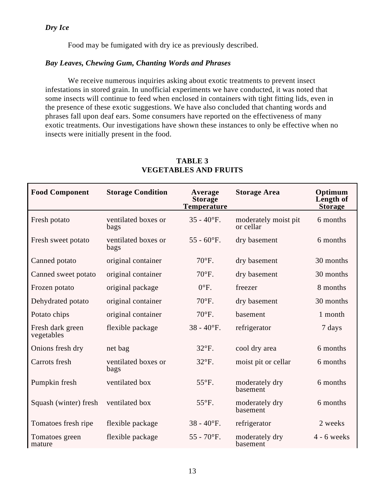Food may be fumigated with dry ice as previously described.

### *Bay Leaves, Chewing Gum, Chanting Words and Phrases*

We receive numerous inquiries asking about exotic treatments to prevent insect infestations in stored grain. In unofficial experiments we have conducted, it was noted that some insects will continue to feed when enclosed in containers with tight fitting lids, even in the presence of these exotic suggestions. We have also concluded that chanting words and phrases fall upon deaf ears. Some consumers have reported on the effectiveness of many exotic treatments. Our investigations have shown these instances to only be effective when no insects were initially present in the food.

| <b>Food Component</b>          | <b>Storage Condition</b>    | Average<br><b>Storage</b><br><b>Temperature</b> | <b>Storage Area</b>               | Optimum<br>Length of<br><b>Storage</b> |
|--------------------------------|-----------------------------|-------------------------------------------------|-----------------------------------|----------------------------------------|
| Fresh potato                   | ventilated boxes or<br>bags | $35 - 40$ °F.                                   | moderately moist pit<br>or cellar | 6 months                               |
| Fresh sweet potato             | ventilated boxes or<br>bags | $55 - 60$ °F.                                   | dry basement                      | 6 months                               |
| Canned potato                  | original container          | $70^{\circ}$ F.                                 | dry basement                      | 30 months                              |
| Canned sweet potato            | original container          | $70^{\circ}$ F.                                 | dry basement                      | 30 months                              |
| Frozen potato                  | original package            | $0^{\circ}$ F.                                  | freezer                           | 8 months                               |
| Dehydrated potato              | original container          | $70^{\circ}$ F.                                 | dry basement                      | 30 months                              |
| Potato chips                   | original container          | $70^{\circ}$ F.                                 | basement                          | 1 month                                |
| Fresh dark green<br>vegetables | flexible package            | $38 - 40$ °F.                                   | refrigerator                      | 7 days                                 |
| Onions fresh dry               | net bag                     | $32^{\circ}F$ .                                 | cool dry area                     | 6 months                               |
| Carrots fresh                  | ventilated boxes or<br>bags | 32°F.                                           | moist pit or cellar               | 6 months                               |
| Pumpkin fresh                  | ventilated box              | 55°F.                                           | moderately dry<br>basement        | 6 months                               |
| Squash (winter) fresh          | ventilated box              | 55°F.                                           | moderately dry<br>basement        | 6 months                               |
| Tomatoes fresh ripe            | flexible package            | $38 - 40$ °F.                                   | refrigerator                      | 2 weeks                                |
| Tomatoes green<br>mature       | flexible package            | $55 - 70$ °F.                                   | moderately dry<br>basement        | $4 - 6$ weeks                          |

### **TABLE 3 VEGETABLES AND FRUITS**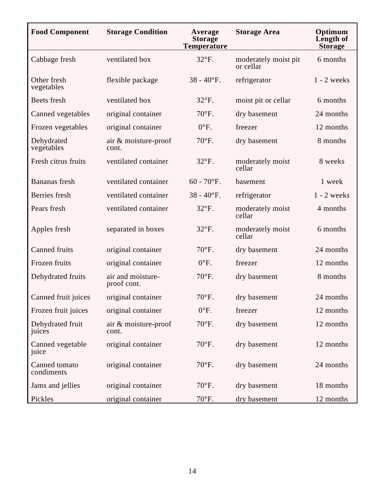| <b>Food Component</b>       | <b>Storage Condition</b>         | Average<br><b>Storage</b><br><b>Temperature</b> | <b>Storage Area</b>               | Optimum<br>Length of<br><b>Storage</b> |
|-----------------------------|----------------------------------|-------------------------------------------------|-----------------------------------|----------------------------------------|
| Cabbage fresh               | ventilated box                   | 32°F.                                           | moderately moist pit<br>or cellar | 6 months                               |
| Other fresh<br>vegetables   | flexible package                 | $38 - 40$ °F.                                   | refrigerator                      | $1 - 2$ weeks                          |
| Beets fresh                 | ventilated box                   | $32^{\circ}F$ .                                 | moist pit or cellar               | 6 months                               |
| Canned vegetables           | original container               | $70^{\circ}$ F.                                 | dry basement                      | 24 months                              |
| Frozen vegetables           | original container               | $0^{\circ}$ F.                                  | freezer                           | 12 months                              |
| Dehydrated<br>vegetables    | air & moisture-proof<br>cont.    | 70°F.                                           | dry basement                      | 8 months                               |
| Fresh citrus fruits         | ventilated container             | 32°F.                                           | moderately moist<br>cellar        | 8 weeks                                |
| <b>Bananas</b> fresh        | ventilated container             | $60 - 70$ °F.                                   | basement                          | 1 week                                 |
| Berries fresh               | ventilated container             | $38 - 40$ °F.                                   | refrigerator                      | $1 - 2$ weeks                          |
| Pears fresh                 | ventilated container             | $32^{\circ}F$ .                                 | moderately moist<br>cellar        | 4 months                               |
| Apples fresh                | separated in boxes               | 32°F.                                           | moderately moist<br>cellar        | 6 months                               |
| <b>Canned fruits</b>        | original container               | $70^{\circ}$ F.                                 | dry basement                      | 24 months                              |
| Frozen fruits               | original container               | $0^{\circ}$ F.                                  | freezer                           | 12 months                              |
| Dehydrated fruits           | air and moisture-<br>proof cont. | 70°F.                                           | dry basement                      | 8 months                               |
| Canned fruit juices         | original container               | 70°F.                                           | dry basement                      | 24 months                              |
| Frozen fruit juices         | original container               | $0^{\circ}$ F.                                  | freezer                           | 12 months                              |
| Dehydrated fruit<br>juices  | air & moisture-proof<br>cont.    | 70°F.                                           | dry basement                      | 12 months                              |
| Canned vegetable<br>juice   | original container               | 70°F.                                           | dry basement                      | 12 months                              |
| Canned tomato<br>condiments | original container               | 70°F.                                           | dry basement                      | 24 months                              |
| Jams and jellies            | original container               | $70^{\circ}$ F.                                 | dry basement                      | 18 months                              |
| Pickles                     | original container               | 70°F.                                           | dry basement                      | 12 months                              |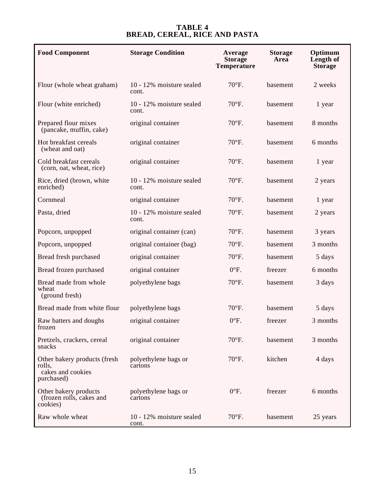#### **TABLE 4 BREAD, CEREAL, RICE AND PASTA**

| <b>Food Component</b>                                                     | <b>Storage Condition</b>          | Average<br><b>Storage</b><br><b>Temperature</b> | <b>Storage</b><br>Area | Optimum<br>Length of<br><b>Storage</b> |
|---------------------------------------------------------------------------|-----------------------------------|-------------------------------------------------|------------------------|----------------------------------------|
| Flour (whole wheat graham)                                                | 10 - 12% moisture sealed<br>cont. | $70^{\circ}$ F.                                 | basement               | 2 weeks                                |
| Flour (white enriched)                                                    | 10 - 12% moisture sealed<br>cont. | $70^{\circ}$ F.                                 | basement               | 1 year                                 |
| Prepared flour mixes<br>(pancake, muffin, cake)                           | original container                | $70^{\circ}$ F.                                 | basement               | 8 months                               |
| Hot breakfast cereals<br>(wheat and oat)                                  | original container                | 70°F.                                           | basement               | 6 months                               |
| Cold breakfast cereals<br>(corn, oat, wheat, rice)                        | original container                | 70°F.                                           | basement               | 1 year                                 |
| Rice, dried (brown, white<br>enriched)                                    | 10 - 12% moisture sealed<br>cont. | $70^{\circ}$ F.                                 | basement               | 2 years                                |
| Cornmeal                                                                  | original container                | $70^{\circ}$ F.                                 | basement               | 1 year                                 |
| Pasta, dried                                                              | 10 - 12% moisture sealed<br>cont. | 70°F.                                           | basement               | 2 years                                |
| Popcorn, unpopped                                                         | original container (can)          | $70^{\circ}$ F.                                 | basement               | 3 years                                |
| Popcorn, unpopped                                                         | original container (bag)          | 70°F.                                           | basement               | 3 months                               |
| Bread fresh purchased                                                     | original container                | $70^{\circ}$ F.                                 | basement               | 5 days                                 |
| Bread frozen purchased                                                    | original container                | $0^{\circ}$ F.                                  | freezer                | 6 months                               |
| Bread made from whole<br>wheat<br>(ground fresh)                          | polyethylene bags                 | 70°F.                                           | basement               | 3 days                                 |
| Bread made from white flour                                               | polyethylene bags                 | $70^{\circ}$ F.                                 | basement               | 5 days                                 |
| Raw batters and doughs<br>frozen                                          | original container                | $0^{\circ}$ F.                                  | freezer                | 3 months                               |
| Pretzels, crackers, cereal<br>snacks                                      | original container                | 70°F.                                           | basement               | 3 months                               |
| Other bakery products (fresh<br>rolls,<br>cakes and cookies<br>purchased) | polyethylene bags or<br>cartons   | $70^{\circ}$ F.                                 | kitchen                | 4 days                                 |
| Other bakery products<br>(frozen rolls, cakes and<br>cookies)             | polyethylene bags or<br>cartons   | $0^{\circ}$ F.                                  | freezer                | 6 months                               |
| Raw whole wheat                                                           | 10 - 12% moisture sealed<br>cont. | 70°F.                                           | basement               | 25 years                               |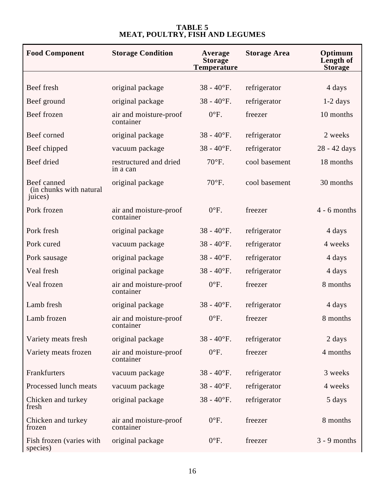| <b>Food Component</b>                             | <b>Storage Condition</b>            | Average<br><b>Storage</b><br><b>Temperature</b> | <b>Storage Area</b> | Optimum<br>Length of<br><b>Storage</b> |
|---------------------------------------------------|-------------------------------------|-------------------------------------------------|---------------------|----------------------------------------|
|                                                   |                                     |                                                 |                     |                                        |
| Beef fresh                                        | original package                    | $38 - 40$ °F.                                   | refrigerator        | 4 days                                 |
| Beef ground                                       | original package                    | $38 - 40$ °F.                                   | refrigerator        | $1-2$ days                             |
| Beef frozen                                       | air and moisture-proof<br>container | $0^{\circ}$ F.                                  | freezer             | 10 months                              |
| Beef corned                                       | original package                    | $38 - 40$ °F.                                   | refrigerator        | 2 weeks                                |
| Beef chipped                                      | vacuum package                      | $38 - 40$ °F.                                   | refrigerator        | 28 - 42 days                           |
| Beef dried                                        | restructured and dried<br>in a can  | 70°F.                                           | cool basement       | 18 months                              |
| Beef canned<br>(in chunks with natural<br>juices) | original package                    | 70°F.                                           | cool basement       | 30 months                              |
| Pork frozen                                       | air and moisture-proof<br>container | $0^{\circ}$ F.                                  | freezer             | $4 - 6$ months                         |
| Pork fresh                                        | original package                    | $38 - 40$ °F.                                   | refrigerator        | 4 days                                 |
| Pork cured                                        | vacuum package                      | $38 - 40$ °F.                                   | refrigerator        | 4 weeks                                |
| Pork sausage                                      | original package                    | $38 - 40$ °F.                                   | refrigerator        | 4 days                                 |
| Veal fresh                                        | original package                    | $38 - 40$ °F.                                   | refrigerator        | 4 days                                 |
| Veal frozen                                       | air and moisture-proof<br>container | $0^{\circ}$ F.                                  | freezer             | 8 months                               |
| Lamb fresh                                        | original package                    | $38 - 40$ °F.                                   | refrigerator        | 4 days                                 |
| Lamb frozen                                       | air and moisture-proof<br>container | $0^{\circ}$ F.                                  | freezer             | 8 months                               |
| Variety meats fresh                               | original package                    | $38 - 40$ °F.                                   | refrigerator        | 2 days                                 |
| Variety meats frozen                              | air and moisture-proof<br>container | $0^{\circ}$ F.                                  | freezer             | 4 months                               |
| Frankfurters                                      | vacuum package                      | $38 - 40$ °F.                                   | refrigerator        | 3 weeks                                |
| Processed lunch meats                             | vacuum package                      | $38 - 40$ °F.                                   | refrigerator        | 4 weeks                                |
| Chicken and turkey<br>fresh                       | original package                    | $38 - 40$ °F.                                   | refrigerator        | 5 days                                 |
| Chicken and turkey<br>frozen                      | air and moisture-proof<br>container | $0^{\circ}$ F.                                  | freezer             | 8 months                               |
| Fish frozen (varies with<br>species)              | original package                    | $0^{\circ}$ F.                                  | freezer             | $3 - 9$ months                         |

## **TABLE 5 MEAT, POULTRY, FISH AND LEGUMES**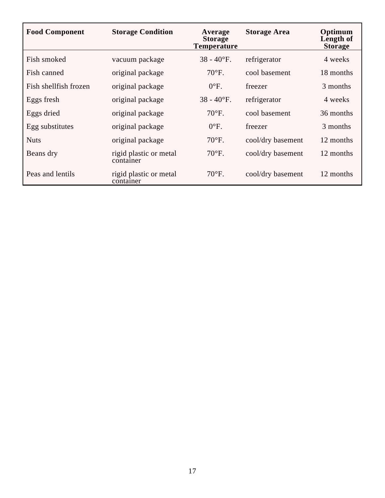| <b>Food Component</b> | <b>Storage Condition</b>            | Average<br><b>Storage</b><br><b>Temperature</b> | <b>Storage Area</b> | Optimum<br>Length of<br><b>Storage</b> |
|-----------------------|-------------------------------------|-------------------------------------------------|---------------------|----------------------------------------|
| Fish smoked           | vacuum package                      | $38 - 40$ °F.                                   | refrigerator        | 4 weeks                                |
| Fish canned           | original package                    | $70^{\circ}$ F.                                 | cool basement       | 18 months                              |
| Fish shellfish frozen | original package                    | $0^{\circ}$ F.                                  | freezer             | 3 months                               |
| Eggs fresh            | original package                    | $38 - 40$ °F.                                   | refrigerator        | 4 weeks                                |
| Eggs dried            | original package                    | $70^{\circ}$ F.                                 | cool basement       | 36 months                              |
| Egg substitutes       | original package                    | $0^{\circ}$ F.                                  | freezer             | 3 months                               |
| <b>Nuts</b>           | original package                    | $70^{\circ}$ F.                                 | cool/dry basement   | 12 months                              |
| Beans dry             | rigid plastic or metal<br>container | $70^{\circ}$ F.                                 | cool/dry basement   | 12 months                              |
| Peas and lentils      | rigid plastic or metal<br>container | $70^{\circ}$ F.                                 | cool/dry basement   | 12 months                              |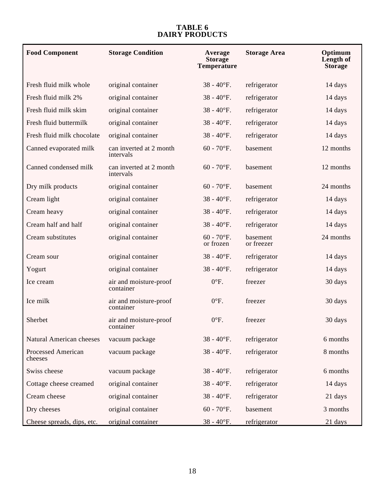#### **TABLE 6 DAIRY PRODUCTS**

| <b>Food Component</b>                | <b>Storage Condition</b>             | Average<br><b>Storage</b><br><b>Temperature</b> | <b>Storage Area</b>    | Optimum<br>Length of<br><b>Storage</b> |
|--------------------------------------|--------------------------------------|-------------------------------------------------|------------------------|----------------------------------------|
| Fresh fluid milk whole               | original container                   | $38 - 40$ °F.                                   | refrigerator           | 14 days                                |
| Fresh fluid milk 2%                  | original container                   | $38 - 40$ °F.                                   | refrigerator           | 14 days                                |
| Fresh fluid milk skim                | original container                   | $38 - 40$ °F.                                   | refrigerator           | 14 days                                |
| Fresh fluid buttermilk               | original container                   | $38 - 40$ °F.                                   | refrigerator           | 14 days                                |
| Fresh fluid milk chocolate           | original container                   | $38 - 40$ °F.                                   | refrigerator           | 14 days                                |
| Canned evaporated milk               | can inverted at 2 month<br>intervals | $60 - 70$ °F.                                   | basement               | 12 months                              |
| Canned condensed milk                | can inverted at 2 month<br>intervals | $60 - 70$ °F.                                   | basement               | 12 months                              |
| Dry milk products                    | original container                   | $60 - 70$ °F.                                   | basement               | 24 months                              |
| Cream light                          | original container                   | $38 - 40$ °F.                                   | refrigerator           | 14 days                                |
| Cream heavy                          | original container                   | $38 - 40$ °F.                                   | refrigerator           | 14 days                                |
| Cream half and half                  | original container                   | $38 - 40$ °F.                                   | refrigerator           | 14 days                                |
| Cream substitutes                    | original container                   | $60 - 70$ °F.<br>or frozen                      | basement<br>or freezer | 24 months                              |
| Cream sour                           | original container                   | $38 - 40$ °F.                                   | refrigerator           | 14 days                                |
| Yogurt                               | original container                   | $38 - 40$ °F.                                   | refrigerator           | 14 days                                |
| Ice cream                            | air and moisture-proof<br>container  | $0^{\circ}$ F.                                  | freezer                | 30 days                                |
| Ice milk                             | air and moisture-proof<br>container  | $0^{\circ}$ F.                                  | freezer                | 30 days                                |
| Sherbet                              | air and moisture-proof<br>container  | $0^{\circ}$ F.                                  | freezer                | 30 days                                |
| Natural American cheeses             | vacuum package                       | $38 - 40$ °F.                                   | refrigerator           | 6 months                               |
| <b>Processed American</b><br>cheeses | vacuum package                       | $38 - 40$ °F.                                   | refrigerator           | 8 months                               |
| Swiss cheese                         | vacuum package                       | $38 - 40$ °F.                                   | refrigerator           | 6 months                               |
| Cottage cheese creamed               | original container                   | $38 - 40$ °F.                                   | refrigerator           | 14 days                                |
| Cream cheese                         | original container                   | $38 - 40$ °F.                                   | refrigerator           | 21 days                                |
| Dry cheeses                          | original container                   | $60 - 70$ °F.                                   | basement               | 3 months                               |
| Cheese spreads, dips, etc.           | original container                   | $38 - 40$ °F.                                   | refrigerator           | 21 days                                |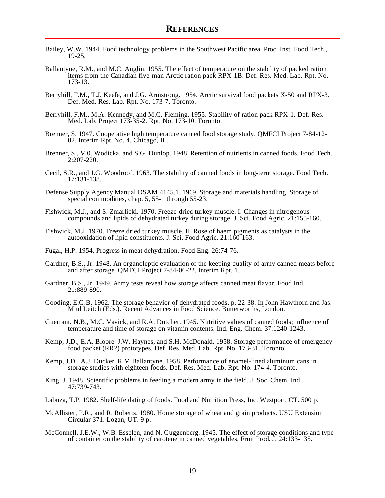- Bailey, W.W. 1944. Food technology problems in the Southwest Pacific area. Proc. Inst. Food Tech., 19-25.
- Ballantyne, R.M., and M.C. Anglin. 1955. The effect of temperature on the stability of packed ration items from the Canadian five-man Arctic ration pack RPX-1B. Def. Res. Med. Lab. Rpt. No. 173-13.
- Berryhill, F.M., T.J. Keefe, and J.G. Armstrong. 1954. Arctic survival food packets X-50 and RPX-3. Def. Med. Res. Lab. Rpt. No. 173-7. Toronto.
- Berryhill, F.M., M.A. Kennedy, and M.C. Fleming. 1955. Stability of ration pack RPX-1. Def. Res. Med. Lab. Project 173-35-2. Rpt. No. 173-10. Toronto.
- Brenner, S. 1947. Cooperative high temperature canned food storage study. QMFCI Project 7-84-12- 02. Interim Rpt. No. 4. Chicago, IL.
- Brenner, S., V.0. Wodicka, and S.G. Dunlop. 1948. Retention of nutrients in canned foods. Food Tech. 2:207-220.
- Cecil, S.R., and J.G. Woodroof. 1963. The stability of canned foods in long-term storage. Food Tech. 17:131-138.
- Defense Supply Agency Manual DSAM 4145.1. 1969. Storage and materials handling. Storage of special commodities, chap. 5, 55-1 through 55-23.
- Fishwick, M.J., and S. Zmarlicki. 1970. Freeze-dried turkey muscle. I. Changes in nitrogenous compounds and lipids of dehydrated turkey during storage. J. Sci. Food Agric. 21:155-160.
- Fishwick, M.J. 1970. Freeze dried turkey muscle. II. Rose of haem pigments as catalysts in the autooxidation of lipid constituents. J. Sci. Food Agric. 21:160-163.
- Fugal, H.P. 1954. Progress in meat dehydration. Food Eng. 26:74-76.
- Gardner, B.S., Jr. 1948. An organoleptic evaluation of the keeping quality of army canned meats before and after storage. QMFCI Project 7-84-06-22. Interim Rpt. 1.
- Gardner, B.S., Jr. 1949. Army tests reveal how storage affects canned meat flavor. Food Ind. 21:889-890.
- Gooding, E.G.B. 1962. The storage behavior of dehydrated foods, p. 22-38. In John Hawthorn and Jas. Miul Leitch (Eds.). Recent Advances in Food Science. Butterworths, London.
- Guerrant, N.B., M.C. Vavick, and R.A. Dutcher. 1945. Nutritive values of canned foods; influence of temperature and time of storage on vitamin contents. Ind. Eng. Chem. 37:1240-1243.
- Kemp, J.D., E.A. Bloore, J.W. Haynes, and S.H. McDonald. 1958. Storage performance of emergency food packet (RR2) prototypes. Def. Res. Med. Lab. Rpt. No. 173-31. Toronto.
- Kemp, J.D., A.J. Ducker, R.M.Ballantyne. 1958. Performance of enamel-lined aluminum cans in storage studies with eighteen foods. Def. Res. Med. Lab. Rpt. No. 174-4. Toronto.
- King, J. 1948. Scientific problems in feeding a modern army in the field. J. Soc. Chem. Ind. 47:739-743.
- Labuza, T.P. 1982. Shelf-life dating of foods. Food and Nutrition Press, Inc. Westport, CT. 500 p.
- McAllister, P.R., and R. Roberts. 1980. Home storage of wheat and grain products. USU Extension Circular 371. Logan, UT. 9 p.
- McConnell, J.E.W., W.B. Esselen, and N. Guggenberg. 1945. The effect of storage conditions and type of container on the stability of carotene in canned vegetables. Fruit Prod. J. 24:133-135.